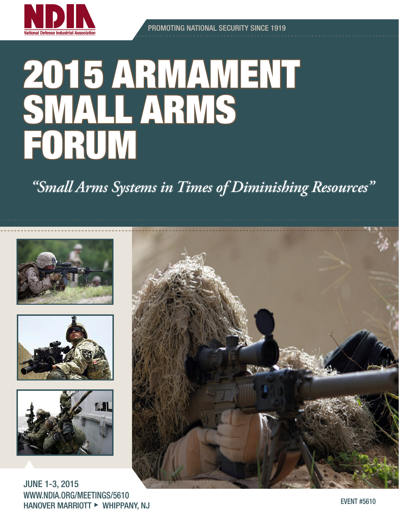

# 2015 ARMAMENT SMALL ARMS FORUM

*"Small Arms Systems in Times of Diminishing Resources"*







JUNE 1-3, 2015 WWW.NDIA.ORG/MEETINGS/5610 HANOVER MARRIOTT ► WHIPPANY, NJ EVENT #5610

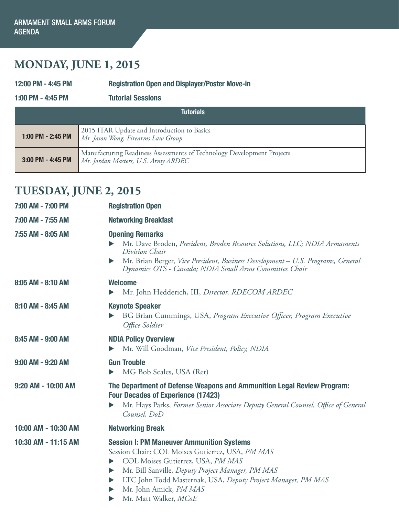## **MONDAY, JUNE 1, 2015**

12:00 PM - 4:45 PM Registration Open and Displayer/Poster Move-in

1:00 PM - 4:45 PM Tutorial Sessions

| <b>Tutorials</b>  |                                                                                                               |
|-------------------|---------------------------------------------------------------------------------------------------------------|
| 1:00 PM - 2:45 PM | 2015 ITAR Update and Introduction to Basics<br>Mr. Jason Wong, Firearms Law Group                             |
| 3:00 PM - 4:45 PM | Manufacturing Readiness Assessments of Technology Development Projects<br>Mr. Jordan Masters, U.S. Army ARDEC |

## **TUESDAY, JUNE 2, 2015**

| 7:00 AM - 7:00 PM   | <b>Registration Open</b>                                                                                                                                                                                                                                                                                                                   |
|---------------------|--------------------------------------------------------------------------------------------------------------------------------------------------------------------------------------------------------------------------------------------------------------------------------------------------------------------------------------------|
| 7:00 AM - 7:55 AM   | <b>Networking Breakfast</b>                                                                                                                                                                                                                                                                                                                |
| 7:55 AM - 8:05 AM   | <b>Opening Remarks</b><br>Mr. Dave Broden, President, Broden Resource Solutions, LLC; NDIA Armaments<br>Division Chair<br>Mr. Brian Berger, Vice President, Business Development - U.S. Programs, General<br>$\blacktriangleright$<br>Dynamics OTS - Canada; NDIA Small Arms Committee Chair                                               |
| 8:05 AM - 8:10 AM   | <b>Welcome</b><br>Mr. John Hedderich, III, Director, RDECOM ARDEC<br>▶                                                                                                                                                                                                                                                                     |
| 8:10 AM - 8:45 AM   | <b>Keynote Speaker</b><br>BG Brian Cummings, USA, Program Executive Officer, Program Executive<br>Office Soldier                                                                                                                                                                                                                           |
| 8:45 AM - 9:00 AM   | <b>NDIA Policy Overview</b><br>Mr. Will Goodman, Vice President, Policy, NDIA<br>$\blacktriangleright$                                                                                                                                                                                                                                     |
| 9:00 AM - 9:20 AM   | <b>Gun Trouble</b><br>MG Bob Scales, USA (Ret)                                                                                                                                                                                                                                                                                             |
| 9:20 AM - 10:00 AM  | The Department of Defense Weapons and Ammunition Legal Review Program:<br><b>Four Decades of Experience (17423)</b><br>Mr. Hays Parks, Former Senior Associate Deputy General Counsel, Office of General<br>▶<br>Counsel, DoD                                                                                                              |
| 10:00 AM - 10:30 AM | <b>Networking Break</b>                                                                                                                                                                                                                                                                                                                    |
| 10:30 AM - 11:15 AM | <b>Session I: PM Maneuver Ammunition Systems</b><br>Session Chair: COL Moises Gutierrez, USA, PM MAS<br>COL Moises Gutierrez, USA, PM MAS<br>▶<br>Mr. Bill Sanville, Deputy Project Manager, PM MAS<br>▶<br>LTC John Todd Masternak, USA, Deputy Project Manager, PM MAS<br>▶<br>Mr. John Amick, PM MAS<br>▶<br>Mr. Matt Walker, MCoE<br>▶ |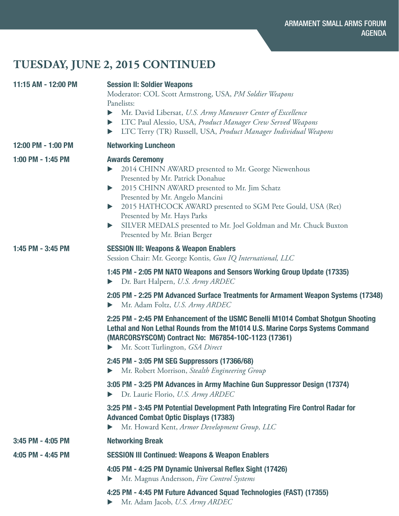# **TUESDAY, JUNE 2, 2015 CONTINUED**

| 11:15 AM - 12:00 PM | <b>Session II: Soldier Weapons</b><br>Moderator: COL Scott Armstrong, USA, PM Soldier Weapons<br>Panelists:<br>Mr. David Libersat, U.S. Army Maneuver Center of Excellence<br>$\blacktriangleright$<br>LTC Paul Alessio, USA, Product Manager Crew Served Weapons<br>▶<br>LTC Terry (TR) Russell, USA, Product Manager Individual Weapons<br>▶                                                                                                                                    |
|---------------------|-----------------------------------------------------------------------------------------------------------------------------------------------------------------------------------------------------------------------------------------------------------------------------------------------------------------------------------------------------------------------------------------------------------------------------------------------------------------------------------|
| 12:00 PM - 1:00 PM  | <b>Networking Luncheon</b>                                                                                                                                                                                                                                                                                                                                                                                                                                                        |
| 1:00 PM - 1:45 PM   | <b>Awards Ceremony</b><br>2014 CHINN AWARD presented to Mr. George Niewenhous<br>Presented by Mr. Patrick Donahue<br>2015 CHINN AWARD presented to Mr. Jim Schatz<br>$\blacktriangleright$<br>Presented by Mr. Angelo Mancini<br>2015 HATHCOCK AWARD presented to SGM Pete Gould, USA (Ret)<br>$\blacktriangleright$<br>Presented by Mr. Hays Parks<br>SILVER MEDALS presented to Mr. Joel Goldman and Mr. Chuck Buxton<br>$\blacktriangleright$<br>Presented by Mr. Brian Berger |
| 1:45 PM - 3:45 PM   | <b>SESSION III: Weapons &amp; Weapon Enablers</b><br>Session Chair: Mr. George Kontis, Gun IQ International, LLC                                                                                                                                                                                                                                                                                                                                                                  |
|                     | 1:45 PM - 2:05 PM NATO Weapons and Sensors Working Group Update (17335)<br>Dr. Bart Halpern, U.S. Army ARDEC<br>▶                                                                                                                                                                                                                                                                                                                                                                 |
|                     | 2:05 PM - 2:25 PM Advanced Surface Treatments for Armament Weapon Systems (17348)<br>Mr. Adam Foltz, U.S. Army ARDEC                                                                                                                                                                                                                                                                                                                                                              |
|                     | 2:25 PM - 2:45 PM Enhancement of the USMC Benelli M1014 Combat Shotgun Shooting<br>Lethal and Non Lethal Rounds from the M1014 U.S. Marine Corps Systems Command<br>(MARCORSYSCOM) Contract No: M67854-10C-1123 (17361)<br>Mr. Scott Turlington, GSA Direct<br>$\blacktriangleright$                                                                                                                                                                                              |
|                     | 2:45 PM - 3:05 PM SEG Suppressors (17366/68)<br>Mr. Robert Morrison, Stealth Engineering Group                                                                                                                                                                                                                                                                                                                                                                                    |
|                     | 3:05 PM - 3:25 PM Advances in Army Machine Gun Suppressor Design (17374)<br>Dr. Laurie Florio, U.S. Army ARDEC<br>$\blacktriangleright$                                                                                                                                                                                                                                                                                                                                           |
|                     | 3:25 PM - 3:45 PM Potential Development Path Integrating Fire Control Radar for<br><b>Advanced Combat Optic Displays (17383)</b><br>Mr. Howard Kent, Armor Development Group, LLC                                                                                                                                                                                                                                                                                                 |
| 3:45 PM - 4:05 PM   | <b>Networking Break</b>                                                                                                                                                                                                                                                                                                                                                                                                                                                           |
| 4:05 PM - 4:45 PM   | <b>SESSION III Continued: Weapons &amp; Weapon Enablers</b>                                                                                                                                                                                                                                                                                                                                                                                                                       |
|                     | 4:05 PM - 4:25 PM Dynamic Universal Reflex Sight (17426)<br>Mr. Magnus Andersson, Fire Control Systems                                                                                                                                                                                                                                                                                                                                                                            |
|                     | 4:25 PM - 4:45 PM Future Advanced Squad Technologies (FAST) (17355)<br>Mr. Adam Jacob, U.S. Army ARDEC                                                                                                                                                                                                                                                                                                                                                                            |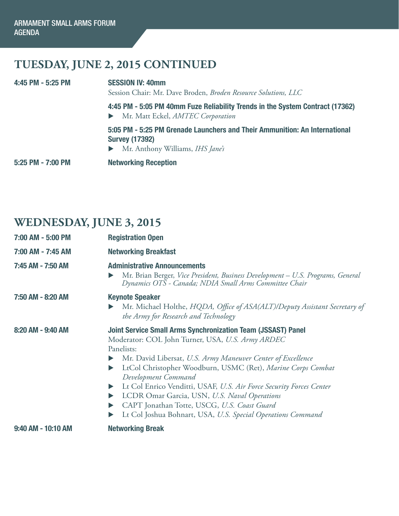# **TUESDAY, JUNE 2, 2015 CONTINUED**

| 5:25 PM - 7:00 PM | <b>Networking Reception</b>                                                                                                             |
|-------------------|-----------------------------------------------------------------------------------------------------------------------------------------|
|                   | 5:05 PM - 5:25 PM Grenade Launchers and Their Ammunition: An International<br><b>Survey (17392)</b><br>Mr. Anthony Williams, IHS Jane's |
|                   | 4:45 PM - 5:05 PM 40mm Fuze Reliability Trends in the System Contract (17362)<br>Mr. Matt Eckel, AMTEC Corporation                      |
| 4:45 PM - 5:25 PM | <b>SESSION IV: 40mm</b><br>Session Chair: Mr. Dave Broden, Broden Resource Solutions, LLC                                               |

## **WEDNESDAY, JUNE 3, 2015**

| 7:00 AM - 5:00 PM  | <b>Registration Open</b>                                                                                                                                                                                                                                                                                                                                                                                                                                                                                                             |
|--------------------|--------------------------------------------------------------------------------------------------------------------------------------------------------------------------------------------------------------------------------------------------------------------------------------------------------------------------------------------------------------------------------------------------------------------------------------------------------------------------------------------------------------------------------------|
| 7:00 AM - 7:45 AM  | <b>Networking Breakfast</b>                                                                                                                                                                                                                                                                                                                                                                                                                                                                                                          |
| 7:45 AM - 7:50 AM  | <b>Administrative Announcements</b><br>Mr. Brian Berger, Vice President, Business Development - U.S. Programs, General<br>▶<br>Dynamics OTS - Canada; NDIA Small Arms Committee Chair                                                                                                                                                                                                                                                                                                                                                |
| 7:50 AM - 8:20 AM  | <b>Keynote Speaker</b><br>Mr. Michael Holthe, HQDA, Office of ASA(ALT)/Deputy Assistant Secretary of<br>the Army for Research and Technology                                                                                                                                                                                                                                                                                                                                                                                         |
| 8:20 AM - 9:40 AM  | <b>Joint Service Small Arms Synchronization Team (JSSAST) Panel</b><br>Moderator: COL John Turner, USA, U.S. Army ARDEC<br>Panelists:<br>Mr. David Libersat, U.S. Army Maneuver Center of Excellence<br>LtCol Christopher Woodburn, USMC (Ret), Marine Corps Combat<br>Development Command<br>Lt Col Enrico Venditti, USAF, U.S. Air Force Security Forces Center<br>▶<br>LCDR Omar Garcia, USN, U.S. Naval Operations<br>CAPT Jonathan Totte, USCG, U.S. Coast Guard<br>Lt Col Joshua Bohnart, USA, U.S. Special Operations Command |
| 9:40 AM - 10:10 AM | <b>Networking Break</b>                                                                                                                                                                                                                                                                                                                                                                                                                                                                                                              |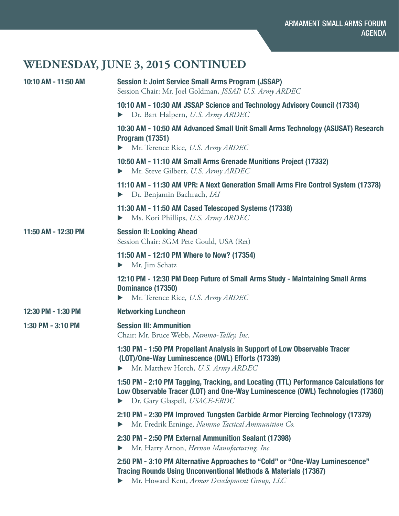# **WEDNESDAY, JUNE 3, 2015 CONTINUED**

| 10:10 AM - 11:50 AM | <b>Session I: Joint Service Small Arms Program (JSSAP)</b><br>Session Chair: Mr. Joel Goldman, JSSAP, U.S. Army ARDEC                                                                                       |
|---------------------|-------------------------------------------------------------------------------------------------------------------------------------------------------------------------------------------------------------|
|                     | 10:10 AM - 10:30 AM JSSAP Science and Technology Advisory Council (17334)<br>Dr. Bart Halpern, U.S. Army ARDEC                                                                                              |
|                     | 10:30 AM - 10:50 AM Advanced Small Unit Small Arms Technology (ASUSAT) Research<br><b>Program (17351)</b><br>$\blacktriangleright$ Mr. Terence Rice, U.S. Army ARDEC                                        |
|                     | 10:50 AM - 11:10 AM Small Arms Grenade Munitions Project (17332)<br>Mr. Steve Gilbert, U.S. Army ARDEC<br>Þ.                                                                                                |
|                     | 11:10 AM - 11:30 AM VPR: A Next Generation Small Arms Fire Control System (17378)<br>Dr. Benjamin Bachrach, IAI<br>Þ.                                                                                       |
|                     | 11:30 AM - 11:50 AM Cased Telescoped Systems (17338)<br>Ms. Kori Phillips, U.S. Army ARDEC<br>Þ.                                                                                                            |
| 11:50 AM - 12:30 PM | <b>Session II: Looking Ahead</b><br>Session Chair: SGM Pete Gould, USA (Ret)                                                                                                                                |
|                     | 11:50 AM - 12:10 PM Where to Now? (17354)<br>Mr. Jim Schatz                                                                                                                                                 |
|                     | 12:10 PM - 12:30 PM Deep Future of Small Arms Study - Maintaining Small Arms<br>Dominance (17350)<br>Mr. Terence Rice, U.S. Army ARDEC<br>$\blacktriangleright$                                             |
| 12:30 PM - 1:30 PM  | <b>Networking Luncheon</b>                                                                                                                                                                                  |
| 1:30 PM - 3:10 PM   | <b>Session III: Ammunition</b><br>Chair: Mr. Bruce Webb, Nammo-Talley, Inc.                                                                                                                                 |
|                     | 1:30 PM - 1:50 PM Propellant Analysis in Support of Low Observable Tracer<br>(LOT)/One-Way Luminescence (OWL) Efforts (17339)<br>Mr. Matthew Horch, U.S. Army ARDEC                                         |
|                     | 1:50 PM - 2:10 PM Tagging, Tracking, and Locating (TTL) Performance Calculations for<br>Low Observable Tracer (LOT) and One-Way Luminescence (OWL) Technologies (17360)<br>Dr. Gary Glaspell, USACE-ERDC    |
|                     | 2:10 PM - 2:30 PM Improved Tungsten Carbide Armor Piercing Technology (17379)<br>Mr. Fredrik Erninge, Nammo Tactical Ammunition Co.                                                                         |
|                     | 2:30 PM - 2:50 PM External Ammunition Sealant (17398)<br>Mr. Harry Arnon, Hernon Manufacturing, Inc.                                                                                                        |
|                     | 2:50 PM - 3:10 PM Alternative Approaches to "Cold" or "One-Way Luminescence"<br><b>Tracing Rounds Using Unconventional Methods &amp; Materials (17367)</b><br>Mr. Howard Kent, Armor Development Group, LLC |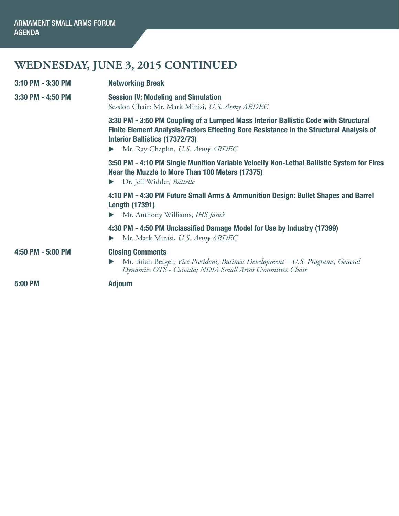# **WEDNESDAY, JUNE 3, 2015 CONTINUED**

| 3:10 PM - 3:30 PM | <b>Networking Break</b>                                                                                                                                                                                                                                                              |
|-------------------|--------------------------------------------------------------------------------------------------------------------------------------------------------------------------------------------------------------------------------------------------------------------------------------|
| 3:30 PM - 4:50 PM | <b>Session IV: Modeling and Simulation</b><br>Session Chair: Mr. Mark Minisi, U.S. Army ARDEC                                                                                                                                                                                        |
|                   | 3:30 PM - 3:50 PM Coupling of a Lumped Mass Interior Ballistic Code with Structural<br>Finite Element Analysis/Factors Effecting Bore Resistance in the Structural Analysis of<br><b>Interior Ballistics (17372/73)</b><br>Mr. Ray Chaplin, U.S. Army ARDEC<br>$\blacktriangleright$ |
|                   | 3:50 PM - 4:10 PM Single Munition Variable Velocity Non-Lethal Ballistic System for Fires<br>Near the Muzzle to More Than 100 Meters (17375)<br>Dr. Jeff Widder, Battelle<br>$\blacktriangleright$                                                                                   |
|                   | 4:10 PM - 4:30 PM Future Small Arms & Ammunition Design: Bullet Shapes and Barrel<br><b>Length (17391)</b><br>Mr. Anthony Williams, IHS Jane's<br>$\blacktriangleright$                                                                                                              |
|                   | 4:30 PM - 4:50 PM Unclassified Damage Model for Use by Industry (17399)<br>Mr. Mark Minisi, U.S. Army ARDEC<br>$\blacktriangleright$                                                                                                                                                 |
| 4:50 PM - 5:00 PM | <b>Closing Comments</b><br>Mr. Brian Berger, Vice President, Business Development - U.S. Programs, General<br>Dynamics OTS - Canada; NDIA Small Arms Committee Chair                                                                                                                 |
| 5:00 PM           | <b>Adjourn</b>                                                                                                                                                                                                                                                                       |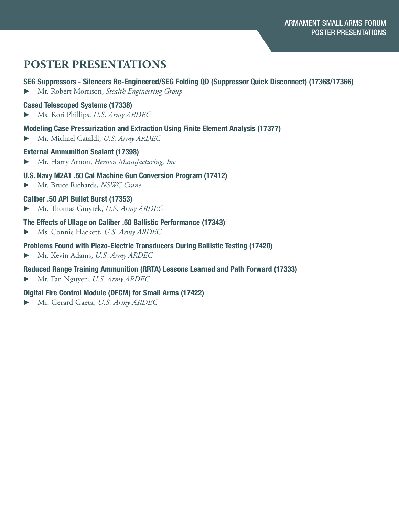## **POSTER PRESENTATIONS**

## SEG Suppressors - Silencers Re-Engineered/SEG Folding QD (Suppressor Quick Disconnect) (17368/17366)

**Mr. Robert Morrison, Stealth Engineering Group** 

#### Cased Telescoped Systems (17338)

u Ms. Kori Phillips, *U.S. Army ARDEC*

#### Modeling Case Pressurization and Extraction Using Finite Element Analysis (17377)

**Mr. Michael Cataldi, U.S. Army ARDEC** 

#### External Ammunition Sealant (17398)

▶ Mr. Harry Arnon, *Hernon Manufacturing, Inc.* 

#### U.S. Navy M2A1 .50 Cal Machine Gun Conversion Program (17412)

 $\blacktriangleright$  Mr. Bruce Richards, *NSWC Crane* 

## Caliber .50 API Bullet Burst (17353)

u Mr. Thomas Gmyrek, *U.S. Army ARDEC*

#### The Effects of Ullage on Caliber .50 Ballistic Performance (17343)

**Ms. Connie Hackett, U.S. Army ARDEC** 

#### Problems Found with Piezo-Electric Transducers During Ballistic Testing (17420)

▶ Mr. Kevin Adams, *U.S. Army ARDEC* 

## Reduced Range Training Ammunition (RRTA) Lessons Learned and Path Forward (17333)

**Mr. Tan Nguyen, U.S. Army ARDEC** 

## Digital Fire Control Module (DFCM) for Small Arms (17422)

u Mr. Gerard Gaeta, *U.S. Army ARDEC*